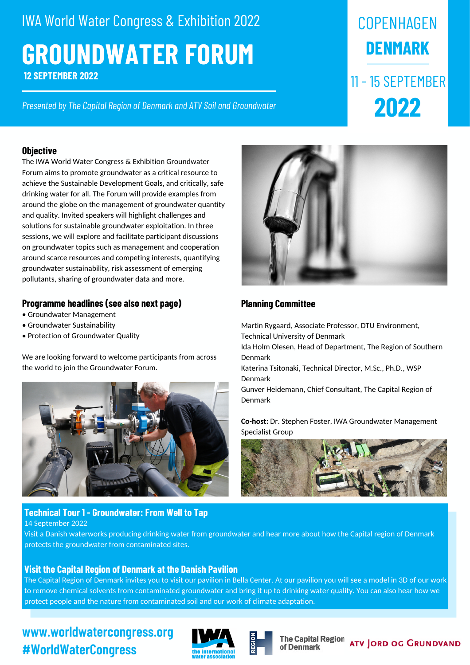# **GROUNDWATER FORUM 12 SEPTEMBER 2022** IWA World Water Congress & Exhibition 2022

*Presented by The Capital Region of Denmark and ATV Soil and Groundwater*

#### **Objective**

The IWA World Water Congress & Exhibition Groundwater Forum aims to promote groundwater as a critical resource to achieve the Sustainable Development Goals, and critically, safe drinking water for all. The Forum will provide examples from around the globe on the management of groundwater quantity and quality. Invited speakers will highlight challenges and solutions for sustainable groundwater exploitation. In three sessions, we will explore and facilitate participant discussions on groundwater topics such as management and cooperation around scarce resources and competing interests, quantifying groundwater sustainability, risk assessment of emerging pollutants, sharing of groundwater data and more.

### **Programme headlines (see also next page)**

- Groundwater Management
- Groundwater Sustainability
- Protection of Groundwater Quality

We are looking forward to welcome participants from across the world to join the Groundwater Forum.



# **Technical Tour 1 - Groundwater: From Well to Tap**

14 September 2022

Visit a Danish waterworks producing drinking water from groundwater and hear more about how the Capital region of Denmark protects the groundwater from contaminated sites.

# **Visit the Capital Region of Denmark at the Danish Pavilion**

The Capital Region of Denmark invites you to visit our pavilion in Bella Center. At our pavilion you will see a model in 3D of our work to remove chemical solvents from contaminated groundwater and bring it up to drinking water quality. You can also hear how we protect people and the nature from contaminated soil and our work of climate adaptation.

# **www.worldwatercongress.org #WorldWaterCongress**





**COPENHAGEN** 

**DENMARK**

11 - 15 SEPTEMBER

**2022**

# **Planning Committee**

Martin Rygaard, Associate Professor, DTU Environment, Technical University of Denmark Ida Holm Olesen, Head of Department, The Region of Southern Denmark Katerina Tsitonaki, Technical Director, M.Sc., Ph.D., WSP Denmark Gunver Heidemann, Chief Consultant, The Capital Region of Denmark

**Co-host:** Dr. Stephen Foster, IWA Groundwater Management Specialist Group



**The Capital Region** of Denmark

**ATV JORD OG GRUNDVAND**